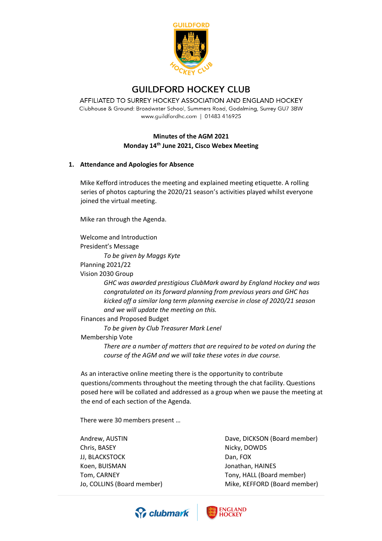

# **GUILDFORD HOCKEY CLUB**

AFFILIATED TO SURREY HOCKEY ASSOCIATION AND ENGLAND HOCKEY Clubhouse & Ground: Broadwater School, Summers Road, Godalming, Surrey GU7 3BW www.guildfordhc.com | 01483 416925

## **Minutes of the AGM 2021 Monday 14th June 2021, Cisco Webex Meeting**

#### **1. Attendance and Apologies for Absence**

Mike Kefford introduces the meeting and explained meeting etiquette. A rolling series of photos capturing the 2020/21 season's activities played whilst everyone joined the virtual meeting.

Mike ran through the Agenda.

Welcome and Introduction President's Message

*To be given by Maggs Kyte*

Planning 2021/22

Vision 2030 Group

*GHC was awarded prestigious ClubMark award by England Hockey and was congratulated on its forward planning from previous years and GHC has kicked off a similar long term planning exercise in close of 2020/21 season and we will update the meeting on this.*

Finances and Proposed Budget

*To be given by Club Treasurer Mark Lenel*

Membership Vote

*There are a number of matters that are required to be voted on during the course of the AGM and we will take these votes in due course.*

As an interactive online meeting there is the opportunity to contribute questions/comments throughout the meeting through the chat facility. Questions posed here will be collated and addressed as a group when we pause the meeting at the end of each section of the Agenda.

There were 30 members present …

Andrew, AUSTIN Chris, BASEY JJ, BLACKSTOCK Koen, BUISMAN Tom, CARNEY Jo, COLLINS (Board member) Dave, DICKSON (Board member) Nicky, DOWDS Dan, FOX Jonathan, HAINES Tony, HALL (Board member) Mike, KEFFORD (Board member)



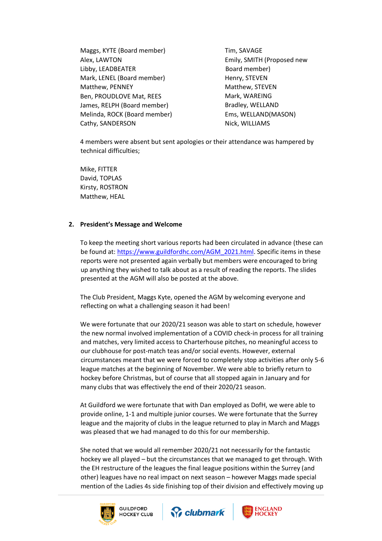Maggs, KYTE (Board member) Alex, LAWTON Libby, LEADBEATER Mark, LENEL (Board member) Matthew, PENNEY Ben, PROUDLOVE Mat, REES James, RELPH (Board member) Melinda, ROCK (Board member) Cathy, SANDERSON

Tim, SAVAGE Emily, SMITH (Proposed new Board member) Henry, STEVEN Matthew, STEVEN Mark, WAREING Bradley, WELLAND Ems, WELLAND(MASON) Nick, WILLIAMS

4 members were absent but sent apologies or their attendance was hampered by technical difficulties;

Mike, FITTER David, TOPLAS Kirsty, ROSTRON Matthew, HEAL

#### **2. President's Message and Welcome**

To keep the meeting short various reports had been circulated in advance (these can be found at: [https://www.guildfordhc.com/AGM\\_2021.html.](https://www.guildfordhc.com/AGM_2021.html) Specific items in these reports were not presented again verbally but members were encouraged to bring up anything they wished to talk about as a result of reading the reports. The slides presented at the AGM will also be posted at the above.

The Club President, Maggs Kyte, opened the AGM by welcoming everyone and reflecting on what a challenging season it had been!

We were fortunate that our 2020/21 season was able to start on schedule, however the new normal involved implementation of a COVID check-in process for all training and matches, very limited access to Charterhouse pitches, no meaningful access to our clubhouse for post-match teas and/or social events. However, external circumstances meant that we were forced to completely stop activities after only 5-6 league matches at the beginning of November. We were able to briefly return to hockey before Christmas, but of course that all stopped again in January and for many clubs that was effectively the end of their 2020/21 season.

At Guildford we were fortunate that with Dan employed as DofH, we were able to provide online, 1-1 and multiple junior courses. We were fortunate that the Surrey league and the majority of clubs in the league returned to play in March and Maggs was pleased that we had managed to do this for our membership.

She noted that we would all remember 2020/21 not necessarily for the fantastic hockey we all played – but the circumstances that we managed to get through. With the EH restructure of the leagues the final league positions within the Surrey (and other) leagues have no real impact on next season – however Maggs made special mention of the Ladies 4s side finishing top of their division and effectively moving up





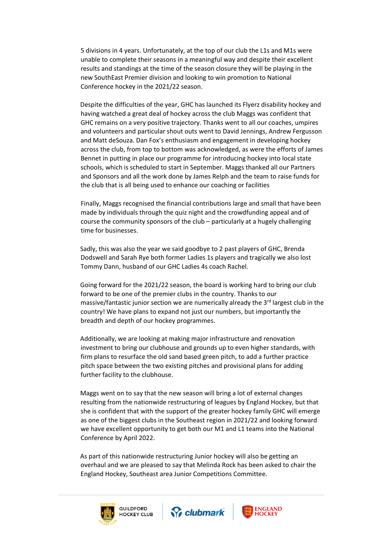5 divisions in 4 years. Unfortunately, at the top of our club the L1s and M1s were unable to complete their seasons in a meaningful way and despite their excellent results and standings at the time of the season closure they will be playing in the new SouthEast Premier division and looking to win promotion to National Conference hockey in the 2021/22 season.

Despite the difficulties of the year, GHC has launched its Flyerz disability hockey and having watched a great deal of hockey across the club Maggs was confident that GHC remains on a very positive trajectory. Thanks went to all our coaches, umpires and volunteers and particular shout outs went to David Jennings, Andrew Fergusson and Matt deSouza. Dan Fox's enthusiasm and engagement in developing hockey across the club, from top to bottom was acknowledged, as were the efforts of James Bennet in putting in place our programme for introducing hockey into local state schools, which is scheduled to start in September. Maggs thanked all our Partners and Sponsors and all the work done by James Relph and the team to raise funds for the club that is all being used to enhance our coaching or facilities

Finally, Maggs recognised the financial contributions large and small that have been made by individuals through the quiz night and the crowdfunding appeal and of course the community sponsors of the club – particularly at a hugely challenging time for businesses.

Sadly, this was also the year we said goodbye to 2 past players of GHC, Brenda Dodswell and Sarah Rye both former Ladies 1s players and tragically we also lost Tommy Dann, husband of our GHC Ladies 4s coach Rachel.

Going forward for the 2021/22 season, the board is working hard to bring our club forward to be one of the premier clubs in the country. Thanks to our massive/fantastic junior section we are numerically already the  $3<sup>rd</sup>$  largest club in the country! We have plans to expand not just our numbers, but importantly the breadth and depth of our hockey programmes.

Additionally, we are looking at making major infrastructure and renovation investment to bring our clubhouse and grounds up to even higher standards, with firm plans to resurface the old sand based green pitch, to add a further practice pitch space between the two existing pitches and provisional plans for adding further facility to the clubhouse.

Maggs went on to say that the new season will bring a lot of external changes resulting from the nationwide restructuring of leagues by England Hockey, but that she is confident that with the support of the greater hockey family GHC will emerge as one of the biggest clubs in the Southeast region in 2021/22 and looking forward we have excellent opportunity to get both our M1 and L1 teams into the National Conference by April 2022.

As part of this nationwide restructuring Junior hockey will also be getting an overhaul and we are pleased to say that Melinda Rock has been asked to chair the England Hockey, Southeast area Junior Competitions Committee.





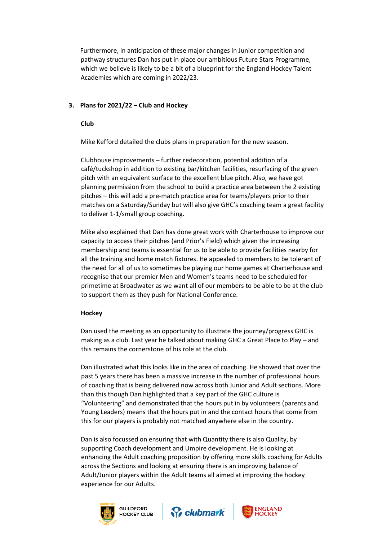Furthermore, in anticipation of these major changes in Junior competition and pathway structures Dan has put in place our ambitious Future Stars Programme, which we believe is likely to be a bit of a blueprint for the England Hockey Talent Academies which are coming in 2022/23.

## **3. Plans for 2021/22 – Club and Hockey**

#### **Club**

Mike Kefford detailed the clubs plans in preparation for the new season.

Clubhouse improvements – further redecoration, potential addition of a café/tuckshop in addition to existing bar/kitchen facilities, resurfacing of the green pitch with an equivalent surface to the excellent blue pitch. Also, we have got planning permission from the school to build a practice area between the 2 existing pitches – this will add a pre-match practice area for teams/players prior to their matches on a Saturday/Sunday but will also give GHC's coaching team a great facility to deliver 1-1/small group coaching.

Mike also explained that Dan has done great work with Charterhouse to improve our capacity to access their pitches (and Prior's Field) which given the increasing membership and teams is essential for us to be able to provide facilities nearby for all the training and home match fixtures. He appealed to members to be tolerant of the need for all of us to sometimes be playing our home games at Charterhouse and recognise that our premier Men and Women's teams need to be scheduled for primetime at Broadwater as we want all of our members to be able to be at the club to support them as they push for National Conference.

## **Hockey**

Dan used the meeting as an opportunity to illustrate the journey/progress GHC is making as a club. Last year he talked about making GHC a Great Place to Play – and this remains the cornerstone of his role at the club.

Dan illustrated what this looks like in the area of coaching. He showed that over the past 5 years there has been a massive increase in the number of professional hours of coaching that is being delivered now across both Junior and Adult sections. More than this though Dan highlighted that a key part of the GHC culture is "Volunteering" and demonstrated that the hours put in by volunteers (parents and Young Leaders) means that the hours put in and the contact hours that come from this for our players is probably not matched anywhere else in the country.

Dan is also focussed on ensuring that with Quantity there is also Quality, by supporting Coach development and Umpire development. He is looking at enhancing the Adult coaching proposition by offering more skills coaching for Adults across the Sections and looking at ensuring there is an improving balance of Adult/Junior players within the Adult teams all aimed at improving the hockey experience for our Adults.





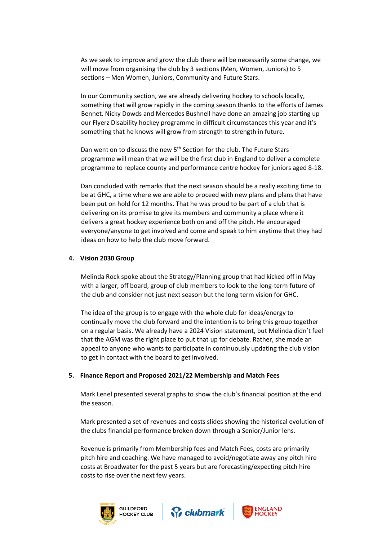As we seek to improve and grow the club there will be necessarily some change, we will move from organising the club by 3 sections (Men, Women, Juniors) to 5 sections – Men Women, Juniors, Community and Future Stars.

In our Community section, we are already delivering hockey to schools locally, something that will grow rapidly in the coming season thanks to the efforts of James Bennet. Nicky Dowds and Mercedes Bushnell have done an amazing job starting up our Flyerz Disability hockey programme in difficult circumstances this year and it's something that he knows will grow from strength to strength in future.

Dan went on to discuss the new 5<sup>th</sup> Section for the club. The Future Stars programme will mean that we will be the first club in England to deliver a complete programme to replace county and performance centre hockey for juniors aged 8-18.

Dan concluded with remarks that the next season should be a really exciting time to be at GHC, a time where we are able to proceed with new plans and plans that have been put on hold for 12 months. That he was proud to be part of a club that is delivering on its promise to give its members and community a place where it delivers a great hockey experience both on and off the pitch. He encouraged everyone/anyone to get involved and come and speak to him anytime that they had ideas on how to help the club move forward.

#### **4. Vision 2030 Group**

Melinda Rock spoke about the Strategy/Planning group that had kicked off in May with a larger, off board, group of club members to look to the long-term future of the club and consider not just next season but the long term vision for GHC.

The idea of the group is to engage with the whole club for ideas/energy to continually move the club forward and the intention is to bring this group together on a regular basis. We already have a 2024 Vision statement, but Melinda didn't feel that the AGM was the right place to put that up for debate. Rather, she made an appeal to anyone who wants to participate in continuously updating the club vision to get in contact with the board to get involved.

#### **5. Finance Report and Proposed 2021/22 Membership and Match Fees**

Mark Lenel presented several graphs to show the club's financial position at the end the season.

Mark presented a set of revenues and costs slides showing the historical evolution of the clubs financial performance broken down through a Senior/Junior lens.

Revenue is primarily from Membership fees and Match Fees, costs are primarily pitch hire and coaching. We have managed to avoid/negotiate away any pitch hire costs at Broadwater for the past 5 years but are forecasting/expecting pitch hire costs to rise over the next few years.





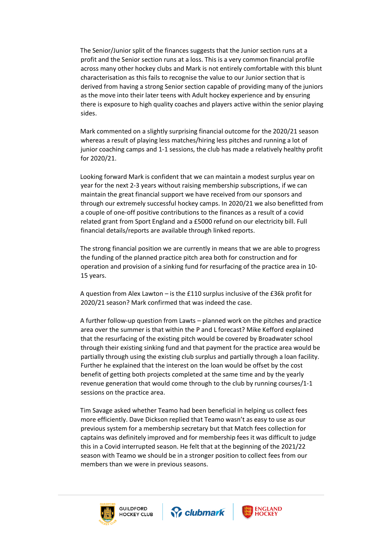The Senior/Junior split of the finances suggests that the Junior section runs at a profit and the Senior section runs at a loss. This is a very common financial profile across many other hockey clubs and Mark is not entirely comfortable with this blunt characterisation as this fails to recognise the value to our Junior section that is derived from having a strong Senior section capable of providing many of the juniors as the move into their later teens with Adult hockey experience and by ensuring there is exposure to high quality coaches and players active within the senior playing sides.

Mark commented on a slightly surprising financial outcome for the 2020/21 season whereas a result of playing less matches/hiring less pitches and running a lot of junior coaching camps and 1-1 sessions, the club has made a relatively healthy profit for 2020/21.

Looking forward Mark is confident that we can maintain a modest surplus year on year for the next 2-3 years without raising membership subscriptions, if we can maintain the great financial support we have received from our sponsors and through our extremely successful hockey camps. In 2020/21 we also benefitted from a couple of one-off positive contributions to the finances as a result of a covid related grant from Sport England and a £5000 refund on our electricity bill. Full financial details/reports are available through linked reports.

The strong financial position we are currently in means that we are able to progress the funding of the planned practice pitch area both for construction and for operation and provision of a sinking fund for resurfacing of the practice area in 10- 15 years.

A question from Alex Lawton – is the £110 surplus inclusive of the £36k profit for 2020/21 season? Mark confirmed that was indeed the case.

A further follow-up question from Lawts – planned work on the pitches and practice area over the summer is that within the P and L forecast? Mike Kefford explained that the resurfacing of the existing pitch would be covered by Broadwater school through their existing sinking fund and that payment for the practice area would be partially through using the existing club surplus and partially through a loan facility. Further he explained that the interest on the loan would be offset by the cost benefit of getting both projects completed at the same time and by the yearly revenue generation that would come through to the club by running courses/1-1 sessions on the practice area.

Tim Savage asked whether Teamo had been beneficial in helping us collect fees more efficiently. Dave Dickson replied that Teamo wasn't as easy to use as our previous system for a membership secretary but that Match fees collection for captains was definitely improved and for membership fees it was difficult to judge this in a Covid interrupted season. He felt that at the beginning of the 2021/22 season with Teamo we should be in a stronger position to collect fees from our members than we were in previous seasons.